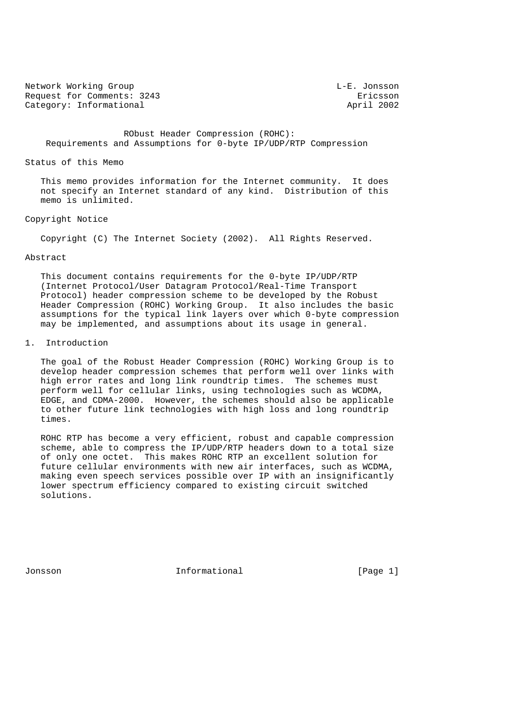Network Working Group Communication Communication Communication Communication Communication Communication Communication Communication Communication Communication Communication Communication Communication Communication Comm Request for Comments: 3243<br>Category: Informational example and the setting of the setting of the setting of the setting of the setting of<br>April 2002 Category: Informational

 RObust Header Compression (ROHC): Requirements and Assumptions for 0-byte IP/UDP/RTP Compression

#### Status of this Memo

 This memo provides information for the Internet community. It does not specify an Internet standard of any kind. Distribution of this memo is unlimited.

#### Copyright Notice

Copyright (C) The Internet Society (2002). All Rights Reserved.

#### Abstract

 This document contains requirements for the 0-byte IP/UDP/RTP (Internet Protocol/User Datagram Protocol/Real-Time Transport Protocol) header compression scheme to be developed by the Robust Header Compression (ROHC) Working Group. It also includes the basic assumptions for the typical link layers over which 0-byte compression may be implemented, and assumptions about its usage in general.

#### 1. Introduction

 The goal of the Robust Header Compression (ROHC) Working Group is to develop header compression schemes that perform well over links with high error rates and long link roundtrip times. The schemes must perform well for cellular links, using technologies such as WCDMA, EDGE, and CDMA-2000. However, the schemes should also be applicable to other future link technologies with high loss and long roundtrip times.

 ROHC RTP has become a very efficient, robust and capable compression scheme, able to compress the IP/UDP/RTP headers down to a total size of only one octet. This makes ROHC RTP an excellent solution for future cellular environments with new air interfaces, such as WCDMA, making even speech services possible over IP with an insignificantly lower spectrum efficiency compared to existing circuit switched solutions.

Jonsson 10 1nformational 1110 [Page 1]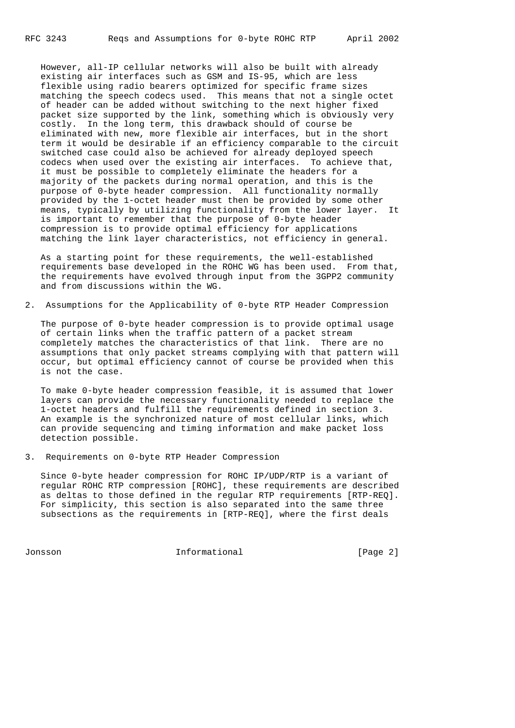However, all-IP cellular networks will also be built with already existing air interfaces such as GSM and IS-95, which are less flexible using radio bearers optimized for specific frame sizes matching the speech codecs used. This means that not a single octet of header can be added without switching to the next higher fixed packet size supported by the link, something which is obviously very costly. In the long term, this drawback should of course be eliminated with new, more flexible air interfaces, but in the short term it would be desirable if an efficiency comparable to the circuit switched case could also be achieved for already deployed speech codecs when used over the existing air interfaces. To achieve that, it must be possible to completely eliminate the headers for a majority of the packets during normal operation, and this is the purpose of 0-byte header compression. All functionality normally provided by the 1-octet header must then be provided by some other means, typically by utilizing functionality from the lower layer. It is important to remember that the purpose of 0-byte header compression is to provide optimal efficiency for applications matching the link layer characteristics, not efficiency in general.

 As a starting point for these requirements, the well-established requirements base developed in the ROHC WG has been used. From that, the requirements have evolved through input from the 3GPP2 community and from discussions within the WG.

2. Assumptions for the Applicability of 0-byte RTP Header Compression

 The purpose of 0-byte header compression is to provide optimal usage of certain links when the traffic pattern of a packet stream completely matches the characteristics of that link. There are no assumptions that only packet streams complying with that pattern will occur, but optimal efficiency cannot of course be provided when this is not the case.

 To make 0-byte header compression feasible, it is assumed that lower layers can provide the necessary functionality needed to replace the 1-octet headers and fulfill the requirements defined in section 3. An example is the synchronized nature of most cellular links, which can provide sequencing and timing information and make packet loss detection possible.

3. Requirements on 0-byte RTP Header Compression

 Since 0-byte header compression for ROHC IP/UDP/RTP is a variant of regular ROHC RTP compression [ROHC], these requirements are described as deltas to those defined in the regular RTP requirements [RTP-REQ]. For simplicity, this section is also separated into the same three subsections as the requirements in [RTP-REQ], where the first deals

Jonsson Informational [Page 2]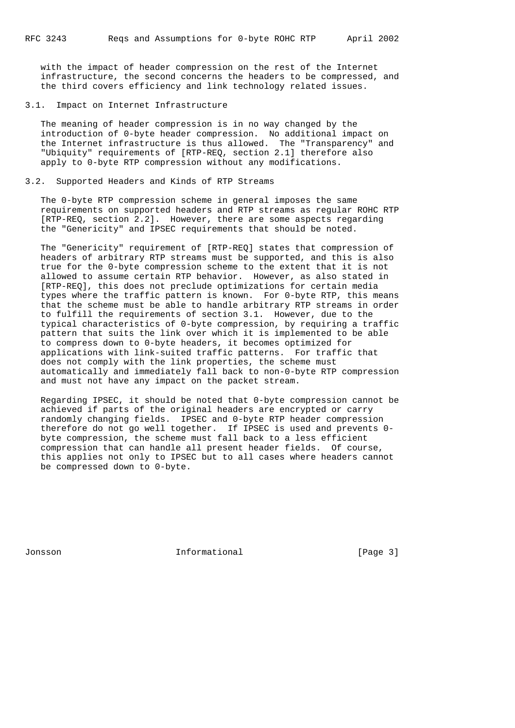with the impact of header compression on the rest of the Internet infrastructure, the second concerns the headers to be compressed, and the third covers efficiency and link technology related issues.

#### 3.1. Impact on Internet Infrastructure

 The meaning of header compression is in no way changed by the introduction of 0-byte header compression. No additional impact on the Internet infrastructure is thus allowed. The "Transparency" and "Ubiquity" requirements of [RTP-REQ, section 2.1] therefore also apply to 0-byte RTP compression without any modifications.

### 3.2. Supported Headers and Kinds of RTP Streams

 The 0-byte RTP compression scheme in general imposes the same requirements on supported headers and RTP streams as regular ROHC RTP [RTP-REQ, section 2.2]. However, there are some aspects regarding the "Genericity" and IPSEC requirements that should be noted.

 The "Genericity" requirement of [RTP-REQ] states that compression of headers of arbitrary RTP streams must be supported, and this is also true for the 0-byte compression scheme to the extent that it is not allowed to assume certain RTP behavior. However, as also stated in [RTP-REQ], this does not preclude optimizations for certain media types where the traffic pattern is known. For 0-byte RTP, this means that the scheme must be able to handle arbitrary RTP streams in order to fulfill the requirements of section 3.1. However, due to the typical characteristics of 0-byte compression, by requiring a traffic pattern that suits the link over which it is implemented to be able to compress down to 0-byte headers, it becomes optimized for applications with link-suited traffic patterns. For traffic that does not comply with the link properties, the scheme must automatically and immediately fall back to non-0-byte RTP compression and must not have any impact on the packet stream.

 Regarding IPSEC, it should be noted that 0-byte compression cannot be achieved if parts of the original headers are encrypted or carry randomly changing fields. IPSEC and 0-byte RTP header compression therefore do not go well together. If IPSEC is used and prevents 0 byte compression, the scheme must fall back to a less efficient compression that can handle all present header fields. Of course, this applies not only to IPSEC but to all cases where headers cannot be compressed down to 0-byte.

Jonsson Informational [Page 3]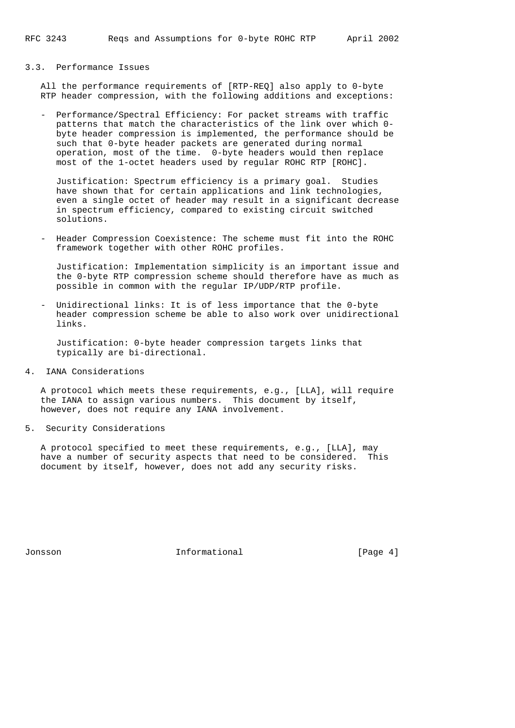## 3.3. Performance Issues

 All the performance requirements of [RTP-REQ] also apply to 0-byte RTP header compression, with the following additions and exceptions:

 - Performance/Spectral Efficiency: For packet streams with traffic patterns that match the characteristics of the link over which 0 byte header compression is implemented, the performance should be such that 0-byte header packets are generated during normal operation, most of the time. 0-byte headers would then replace most of the 1-octet headers used by regular ROHC RTP [ROHC].

 Justification: Spectrum efficiency is a primary goal. Studies have shown that for certain applications and link technologies, even a single octet of header may result in a significant decrease in spectrum efficiency, compared to existing circuit switched solutions.

 - Header Compression Coexistence: The scheme must fit into the ROHC framework together with other ROHC profiles.

 Justification: Implementation simplicity is an important issue and the 0-byte RTP compression scheme should therefore have as much as possible in common with the regular IP/UDP/RTP profile.

Unidirectional links: It is of less importance that the 0-byte header compression scheme be able to also work over unidirectional links.

 Justification: 0-byte header compression targets links that typically are bi-directional.

4. IANA Considerations

 A protocol which meets these requirements, e.g., [LLA], will require the IANA to assign various numbers. This document by itself, however, does not require any IANA involvement.

5. Security Considerations

 A protocol specified to meet these requirements, e.g., [LLA], may have a number of security aspects that need to be considered. This document by itself, however, does not add any security risks.

Jonsson Informational [Page 4]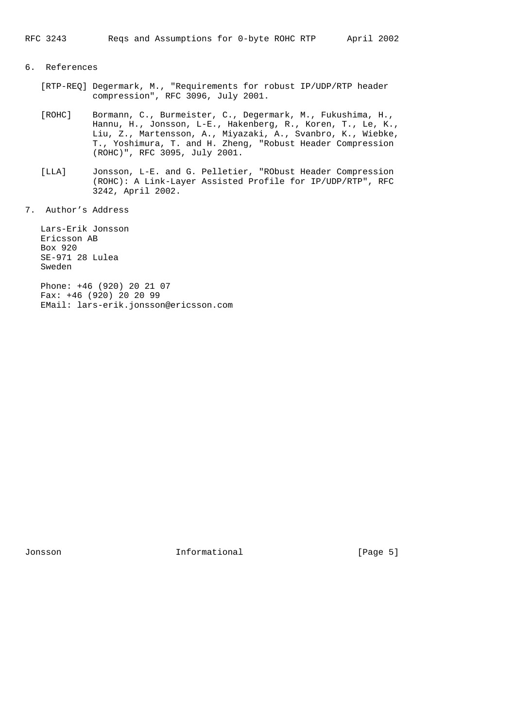# 6. References

- [RTP-REQ] Degermark, M., "Requirements for robust IP/UDP/RTP header compression", RFC 3096, July 2001.
- [ROHC] Bormann, C., Burmeister, C., Degermark, M., Fukushima, H., Hannu, H., Jonsson, L-E., Hakenberg, R., Koren, T., Le, K., Liu, Z., Martensson, A., Miyazaki, A., Svanbro, K., Wiebke, T., Yoshimura, T. and H. Zheng, "Robust Header Compression (ROHC)", RFC 3095, July 2001.
- [LLA] Jonsson, L-E. and G. Pelletier, "RObust Header Compression (ROHC): A Link-Layer Assisted Profile for IP/UDP/RTP", RFC 3242, April 2002.
- 7. Author's Address

 Lars-Erik Jonsson Ericsson AB Box 920 SE-971 28 Lulea Sweden

 Phone: +46 (920) 20 21 07 Fax: +46 (920) 20 20 99 EMail: lars-erik.jonsson@ericsson.com

Jonsson 101 Informational 101 Page 5]